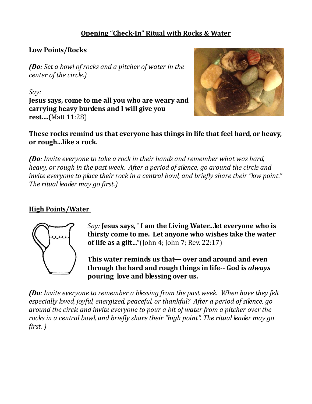## **Opening "Check-In" Ritual with Rocks & Water**

## **Low Points/Rocks**

*(Do: Set a bowl of rocks and a pitcher of water in the center of the circle.)*

*Say:*  **Jesus says, come to me all you who are weary and carrying heavy burdens and I will give you rest....**(Matt 11:28)



**These rocks remind us that everyone has things in life that feel hard, or heavy, or rough...like a rock.** 

*(Do: Invite everyone to take a rock in their hands and remember what was hard, heavy, or rough in the past week. After a period of silence, go around the circle and invite everyone to place their rock in a central bowl, and briefly share their "low point." The ritual leader may go first.)* 

## **High Points/Water**



*Say:* **Jesus says, ' I am the Living Water...let everyone who is thirsty come to me. Let anyone who wishes take the water of life as a gift..."**(John 4; John 7; Rev. 22:17)

**This water reminds us that— over and around and even through the hard and rough things in life-- God is** *always*  **pouring love and blessing over us.** 

*(Do: Invite everyone to remember a blessing from the past week. When have they felt especially loved, joyful, energized, peaceful, or thankful? After a period of silence, go around the circle and invite everyone to pour a bit of water from a pitcher over the rocks in a central bowl, and briefly share their "high point". The ritual leader may go first. )*